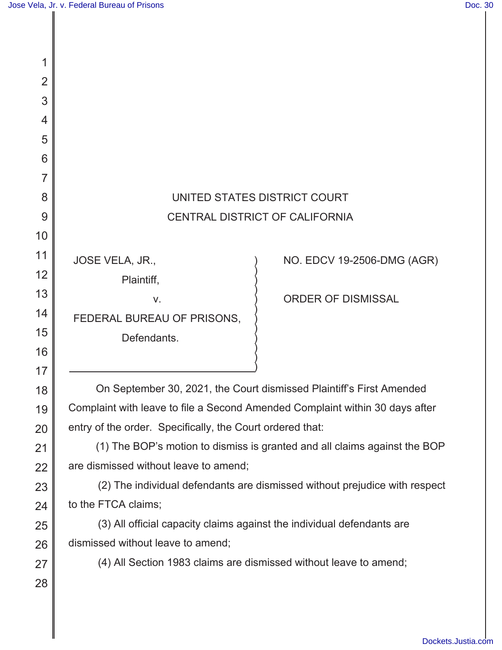1

2

3

4

5

6

7

8

9

10

11

12

13

14

15

16

17

18

19

20

21

22

23

24

25

26

27

28

## UNITED STATES DISTRICT COURT CENTRAL DISTRICT OF CALIFORNIA

) ) ) ) ) ) ) ) ) ) ) )

JOSE VELA, JR.,

Plaintiff,

 v. FEDERAL BUREAU OF PRISONS,

Defendants.

NO. EDCV 19-2506-DMG (AGR)

ORDER OF DISMISSAL

On September 30, 2021, the Court dismissed Plaintiff's First Amended Complaint with leave to file a Second Amended Complaint within 30 days after entry of the order. Specifically, the Court ordered that:

(1) The BOP's motion to dismiss is granted and all claims against the BOP are dismissed without leave to amend;

(2) The individual defendants are dismissed without prejudice with respect to the FTCA claims;

(3) All official capacity claims against the individual defendants are dismissed without leave to amend;

(4) All Section 1983 claims are dismissed without leave to amend;